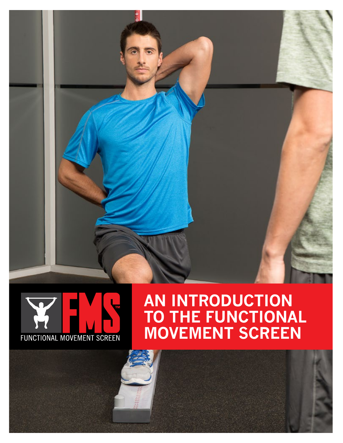

# **FUNCTIONAL MOVEMENT SCREEN**

# **AN INTRODUCTION TO THE FUNCTIONAL MOVEMENT SCREEN**

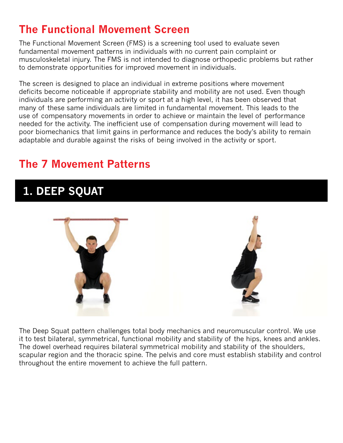#### **The Functional Movement Screen**

The Functional Movement Screen (FMS) is a screening tool used to evaluate seven fundamental movement patterns in individuals with no current pain complaint or musculoskeletal injury. The FMS is not intended to diagnose orthopedic problems but rather to demonstrate opportunities for improved movement in individuals.

The screen is designed to place an individual in extreme positions where movement deficits become noticeable if appropriate stability and mobility are not used. Even though individuals are performing an activity or sport at a high level, it has been observed that many of these same individuals are limited in fundamental movement. This leads to the use of compensatory movements in order to achieve or maintain the level of performance needed for the activity. The inefficient use of compensation during movement will lead to poor biomechanics that limit gains in performance and reduces the body's ability to remain adaptable and durable against the risks of being involved in the activity or sport.

#### **The 7 Movement Patterns**

#### **1. DEEP SQUAT**



The Deep Squat pattern challenges total body mechanics and neuromuscular control. We use it to test bilateral, symmetrical, functional mobility and stability of the hips, knees and ankles. The dowel overhead requires bilateral symmetrical mobility and stability of the shoulders, scapular region and the thoracic spine. The pelvis and core must establish stability and control throughout the entire movement to achieve the full pattern.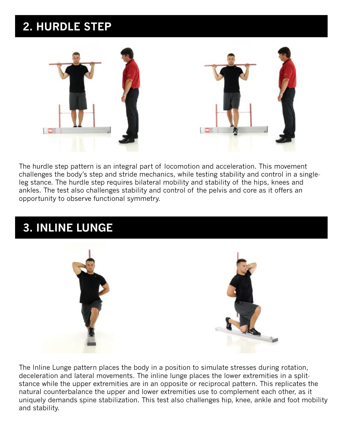# **2. HURDLE STEP**



The hurdle step pattern is an integral part of locomotion and acceleration. This movement challenges the body's step and stride mechanics, while testing stability and control in a singleleg stance. The hurdle step requires bilateral mobility and stability of the hips, knees and ankles. The test also challenges stability and control of the pelvis and core as it offers an opportunity to observe functional symmetry.

## **3. INLINE LUNGE**



The Inline Lunge pattern places the body in a position to simulate stresses during rotation, deceleration and lateral movements. The inline lunge places the lower extremities in a splitstance while the upper extremities are in an opposite or reciprocal pattern. This replicates the natural counterbalance the upper and lower extremities use to complement each other, as it uniquely demands spine stabilization. This test also challenges hip, knee, ankle and foot mobility and stability.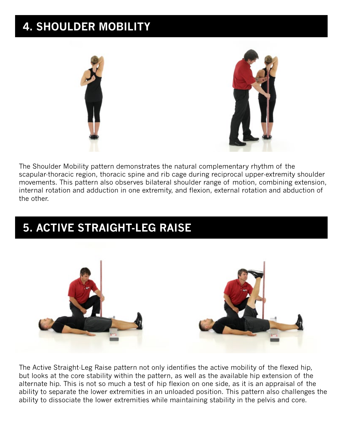# **4. SHOULDER MOBILITY**





The Shoulder Mobility pattern demonstrates the natural complementary rhythm of the scapular-thoracic region, thoracic spine and rib cage during reciprocal upper-extremity shoulder movements. This pattern also observes bilateral shoulder range of motion, combining extension, internal rotation and adduction in one extremity, and flexion, external rotation and abduction of the other.

# **5. ACTIVE STRAIGHT-LEG RAISE**



The Active Straight-Leg Raise pattern not only identifies the active mobility of the flexed hip, but looks at the core stability within the pattern, as well as the available hip extension of the alternate hip. This is not so much a test of hip flexion on one side, as it is an appraisal of the ability to separate the lower extremities in an unloaded position. This pattern also challenges the ability to dissociate the lower extremities while maintaining stability in the pelvis and core.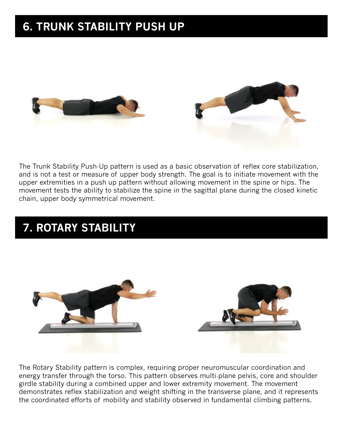# **6. TRUNK STABILITY PUSH UP**





The Trunk Stability Push-Up pattern is used as a basic observation of reflex core stabilization, and is not a test or measure of upper body strength. The goal is to initiate movement with the upper extremities in a push up pattern without allowing movement in the spine or hips. The movement tests the ability to stabilize the spine in the sagittal plane during the closed kinetic chain, upper body symmetrical movement.

# **7. ROTARY STABILITY**



The Rotary Stability pattern is complex, requiring proper neuromuscular coordination and energy transfer through the torso. This pattern observes multi-plane pelvis, core and shoulder girdle stability during a combined upper and lower extremity movement. The movement demonstrates reflex stabilization and weight shifting in the transverse plane, and it represents the coordinated efforts of mobility and stability observed in fundamental climbing patterns.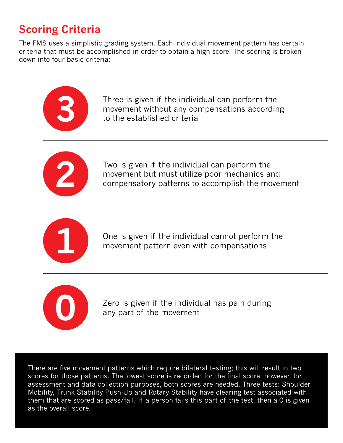## **Scoring Criteria**

The FMS uses a simplistic grading system. Each individual movement pattern has certain criteria that must be accomplished in order to obtain a high score. The scoring is broken down into four basic criteria:



Three is given if the individual can perform the movement without any compensations according to the established criteria



Two is given if the individual can perform the movement but must utilize poor mechanics and compensatory patterns to accomplish the movement



One is given if the individual cannot perform the movement pattern even with compensations



Zero is given if the individual has pain during any part of the movement

There are five movement patterns which require bilateral testing; this will result in two scores for those patterns. The lowest score is recorded for the final score; however, for assessment and data collection purposes, both scores are needed. Three tests: Shoulder Mobility, Trunk Stability Push-Up and Rotary Stability have clearing test associated with them that are scored as pass/fail. If a person fails this part of the test, then a 0 is given as the overall score.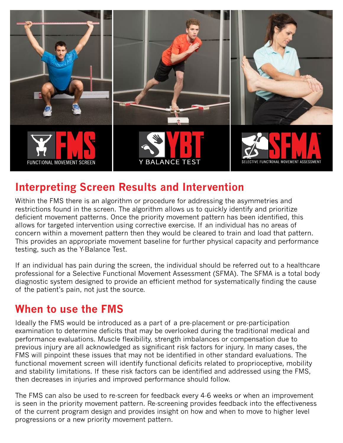

#### **Interpreting Screen Results and Intervention**

Within the FMS there is an algorithm or procedure for addressing the asymmetries and restrictions found in the screen. The algorithm allows us to quickly identify and prioritize deficient movement patterns. Once the priority movement pattern has been identified, this allows for targeted intervention using corrective exercise. If an individual has no areas of concern within a movement pattern then they would be cleared to train and load that pattern. This provides an appropriate movement baseline for further physical capacity and performance testing, such as the Y-Balance Test.

If an individual has pain during the screen, the individual should be referred out to a healthcare professional for a Selective Functional Movement Assessment (SFMA). The SFMA is a total body diagnostic system designed to provide an efficient method for systematically finding the cause of the patient's pain, not just the source.

#### **When to use the FMS**

Ideally the FMS would be introduced as a part of a pre-placement or pre-participation examination to determine deficits that may be overlooked during the traditional medical and performance evaluations. Muscle flexibility, strength imbalances or compensation due to previous injury are all acknowledged as significant risk factors for injury. In many cases, the FMS will pinpoint these issues that may not be identified in other standard evaluations. The functional movement screen will identify functional deficits related to proprioceptive, mobility and stability limitations. If these risk factors can be identified and addressed using the FMS, then decreases in injuries and improved performance should follow.

The FMS can also be used to re-screen for feedback every 4-6 weeks or when an improvement is seen in the priority movement pattern. Re-screening provides feedback into the effectiveness of the current program design and provides insight on how and when to move to higher level progressions or a new priority movement pattern.